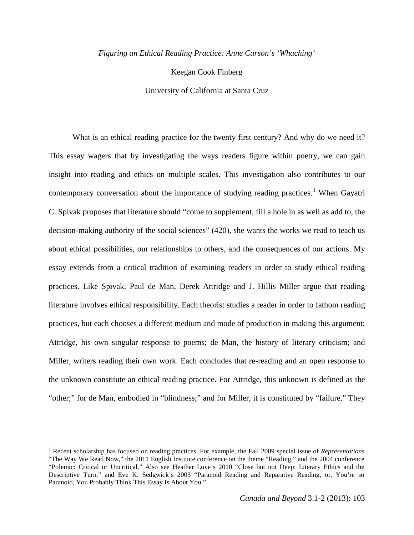*Figuring an Ethical Reading Practice: Anne Carson's 'Whaching'*

Keegan Cook Finberg

University of California at Santa Cruz

What is an ethical reading practice for the twenty first century? And why do we need it? This essay wagers that by investigating the ways readers figure within poetry, we can gain insight into reading and ethics on multiple scales. This investigation also contributes to our contemporary conversation about the importance of studying reading practices.<sup>[1](#page-0-0)</sup> When Gayatri C. Spivak proposes that literature should "come to supplement, fill a hole in as well as add to, the decision-making authority of the social sciences" (420), she wants the works we read to teach us about ethical possibilities, our relationships to others, and the consequences of our actions. My essay extends from a critical tradition of examining readers in order to study ethical reading practices. Like Spivak, Paul de Man, Derek Attridge and J. Hillis Miller argue that reading literature involves ethical responsibility. Each theorist studies a reader in order to fathom reading practices, but each chooses a different medium and mode of production in making this argument; Attridge, his own singular response to poems; de Man, the history of literary criticism; and Miller, writers reading their own work. Each concludes that re-reading and an open response to the unknown constitute an ethical reading practice. For Attridge, this unknown is defined as the "other;" for de Man, embodied in "blindness;" and for Miller, it is constituted by "failure." They

ı

<span id="page-0-0"></span><sup>1</sup> Recent scholarship has focused on reading practices. For example, the Fall 2009 special issue of *Representations*  "The Way We Read Now," the 2011 English Institute conference on the theme "Reading," and the 2004 conference "Polemic: Critical or Uncritical." Also see Heather Love's 2010 "Close but not Deep: Literary Ethics and the Descriptive Turn," and Eve K. Sedgwick's 2003 "Paranoid Reading and Reparative Reading, or, You're so Paranoid, You Probably Think This Essay Is About You."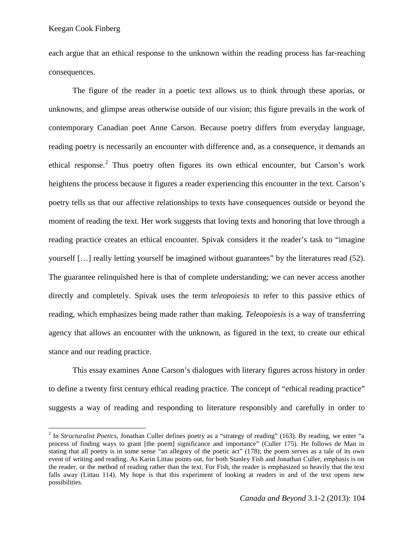l

each argue that an ethical response to the unknown within the reading process has far-reaching consequences.

The figure of the reader in a poetic text allows us to think through these aporias, or unknowns, and glimpse areas otherwise outside of our vision; this figure prevails in the work of contemporary Canadian poet Anne Carson. Because poetry differs from everyday language, reading poetry is necessarily an encounter with difference and, as a consequence, it demands an ethical response.<sup>[2](#page-1-0)</sup> Thus poetry often figures its own ethical encounter, but Carson's work heightens the process because it figures a reader experiencing this encounter in the text. Carson's poetry tells us that our affective relationships to texts have consequences outside or beyond the moment of reading the text. Her work suggests that loving texts and honoring that love through a reading practice creates an ethical encounter. Spivak considers it the reader's task to "imagine yourself […] really letting yourself be imagined without guarantees" by the literatures read (52). The guarantee relinquished here is that of complete understanding; we can never access another directly and completely. Spivak uses the term *teleopoiesis* to refer to this passive ethics of reading, which emphasizes being made rather than making. *Teleopoiesis* is a way of transferring agency that allows an encounter with the unknown, as figured in the text, to create our ethical stance and our reading practice.

This essay examines Anne Carson's dialogues with literary figures across history in order to define a twenty first century ethical reading practice. The concept of "ethical reading practice" suggests a way of reading and responding to literature responsibly and carefully in order to

<span id="page-1-0"></span><sup>2</sup> In *Structuralist Poetics*, Jonathan Culler defines poetry as a "strategy of reading" (163). By reading, we enter "a process of finding ways to grant [the poem] significance and importance" (Culler 175). He follows de Man in stating that all poetry is in some sense "an allegory of the poetic act" (178); the poem serves as a tale of its own event of writing and reading. As Karin Littau points out, for both Stanley Fish and Jonathan Culler, emphasis is on the reader, or the method of reading rather than the text. For Fish, the reader is emphasized so heavily that the text falls away (Littau 114). My hope is that this experiment of looking at readers in and of the text opens new possibilities.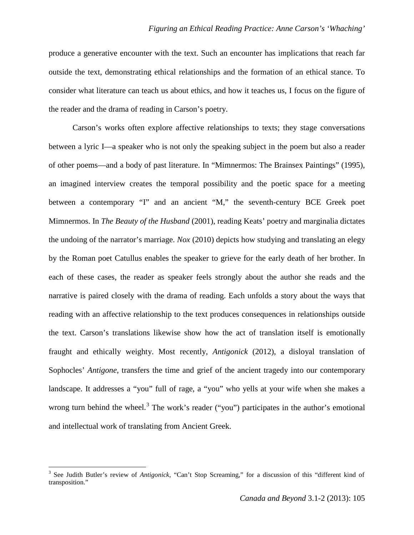produce a generative encounter with the text. Such an encounter has implications that reach far outside the text, demonstrating ethical relationships and the formation of an ethical stance. To consider what literature can teach us about ethics, and how it teaches us, I focus on the figure of the reader and the drama of reading in Carson's poetry.

Carson's works often explore affective relationships to texts; they stage conversations between a lyric I—a speaker who is not only the speaking subject in the poem but also a reader of other poems—and a body of past literature. In "Mimnermos: The Brainsex Paintings" (1995), an imagined interview creates the temporal possibility and the poetic space for a meeting between a contemporary "I" and an ancient "M," the seventh-century BCE Greek poet Mimnermos. In *The Beauty of the Husband* (2001), reading Keats' poetry and marginalia dictates the undoing of the narrator's marriage. *Nox* (2010) depicts how studying and translating an elegy by the Roman poet Catullus enables the speaker to grieve for the early death of her brother. In each of these cases, the reader as speaker feels strongly about the author she reads and the narrative is paired closely with the drama of reading. Each unfolds a story about the ways that reading with an affective relationship to the text produces consequences in relationships outside the text. Carson's translations likewise show how the act of translation itself is emotionally fraught and ethically weighty. Most recently, *Antigonick* (2012), a disloyal translation of Sophocles' *Antigone*, transfers the time and grief of the ancient tragedy into our contemporary landscape. It addresses a "you" full of rage, a "you" who yells at your wife when she makes a wrong turn behind the wheel.<sup>[3](#page-2-0)</sup> The work's reader ("you") participates in the author's emotional and intellectual work of translating from Ancient Greek.

ı

<span id="page-2-0"></span><sup>3</sup> See Judith Butler's review of *Antigonick*, "Can't Stop Screaming," for a discussion of this "different kind of transposition."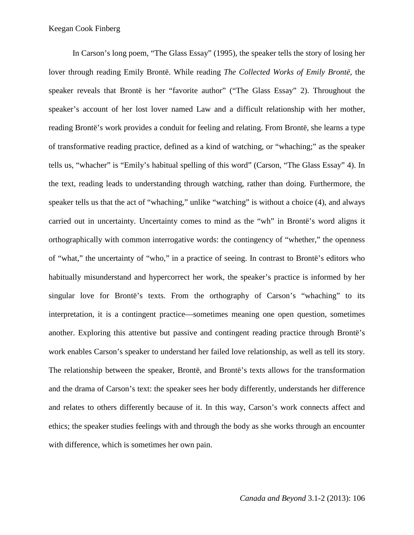In Carson's long poem, "The Glass Essay" (1995), the speaker tells the story of losing her lover through reading Emily Brontë. While reading *The Collected Works of Emily Brontë*, the speaker reveals that Brontë is her "favorite author" ("The Glass Essay" 2). Throughout the speaker's account of her lost lover named Law and a difficult relationship with her mother, reading Brontë's work provides a conduit for feeling and relating. From Brontë, she learns a type of transformative reading practice, defined as a kind of watching, or "whaching;" as the speaker tells us, "whacher" is "Emily's habitual spelling of this word" (Carson, "The Glass Essay" 4). In the text, reading leads to understanding through watching, rather than doing. Furthermore, the speaker tells us that the act of "whaching," unlike "watching" is without a choice (4), and always carried out in uncertainty. Uncertainty comes to mind as the "wh" in Brontë's word aligns it orthographically with common interrogative words: the contingency of "whether," the openness of "what," the uncertainty of "who," in a practice of seeing. In contrast to Brontë's editors who habitually misunderstand and hypercorrect her work, the speaker's practice is informed by her singular love for Brontë's texts. From the orthography of Carson's "whaching" to its interpretation, it is a contingent practice—sometimes meaning one open question, sometimes another. Exploring this attentive but passive and contingent reading practice through Brontë's work enables Carson's speaker to understand her failed love relationship, as well as tell its story. The relationship between the speaker, Brontë, and Brontë's texts allows for the transformation and the drama of Carson's text: the speaker sees her body differently, understands her difference and relates to others differently because of it. In this way, Carson's work connects affect and ethics; the speaker studies feelings with and through the body as she works through an encounter with difference, which is sometimes her own pain.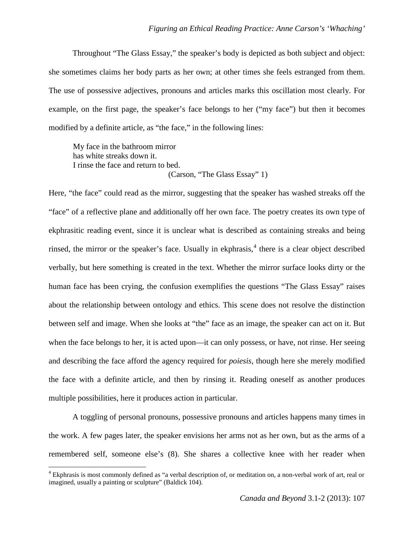Throughout "The Glass Essay," the speaker's body is depicted as both subject and object: she sometimes claims her body parts as her own; at other times she feels estranged from them. The use of possessive adjectives, pronouns and articles marks this oscillation most clearly. For example, on the first page, the speaker's face belongs to her ("my face") but then it becomes modified by a definite article, as "the face," in the following lines:

My face in the bathroom mirror has white streaks down it. I rinse the face and return to bed. (Carson, "The Glass Essay" 1)

Here, "the face" could read as the mirror, suggesting that the speaker has washed streaks off the "face" of a reflective plane and additionally off her own face. The poetry creates its own type of ekphrasitic reading event, since it is unclear what is described as containing streaks and being rinsed, the mirror or the speaker's face. Usually in ekphrasis, $4$  there is a clear object described verbally, but here something is created in the text. Whether the mirror surface looks dirty or the human face has been crying, the confusion exemplifies the questions "The Glass Essay" raises about the relationship between ontology and ethics. This scene does not resolve the distinction between self and image. When she looks at "the" face as an image, the speaker can act on it. But when the face belongs to her, it is acted upon—it can only possess, or have, not rinse. Her seeing and describing the face afford the agency required for *poiesis*, though here she merely modified the face with a definite article, and then by rinsing it. Reading oneself as another produces multiple possibilities, here it produces action in particular.

A toggling of personal pronouns, possessive pronouns and articles happens many times in the work. A few pages later, the speaker envisions her arms not as her own, but as the arms of a remembered self, someone else's (8). She shares a collective knee with her reader when

ı

<span id="page-4-0"></span><sup>4</sup> Ekphrasis is most commonly defined as "a verbal description of, or meditation on, a non-verbal work of art, real or imagined, usually a painting or sculpture" (Baldick 104).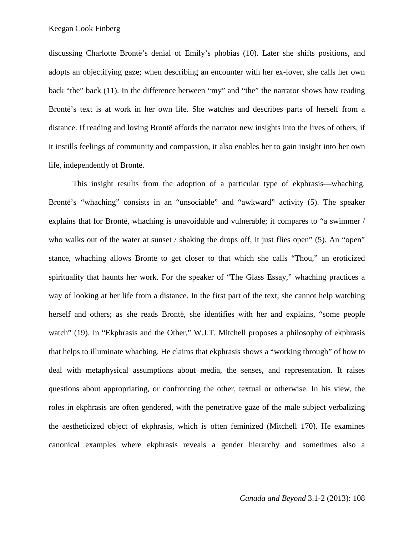discussing Charlotte Brontë's denial of Emily's phobias (10). Later she shifts positions, and adopts an objectifying gaze; when describing an encounter with her ex-lover, she calls her own back "the" back (11). In the difference between "my" and "the" the narrator shows how reading Brontë's text is at work in her own life. She watches and describes parts of herself from a distance. If reading and loving Brontë affords the narrator new insights into the lives of others, if it instills feelings of community and compassion, it also enables her to gain insight into her own life, independently of Brontë.

This insight results from the adoption of a particular type of ekphrasis—whaching. Brontë's "whaching" consists in an "unsociable" and "awkward" activity (5). The speaker explains that for Brontë, whaching is unavoidable and vulnerable; it compares to "a swimmer / who walks out of the water at sunset / shaking the drops off, it just flies open" (5). An "open" stance, whaching allows Brontë to get closer to that which she calls "Thou," an eroticized spirituality that haunts her work. For the speaker of "The Glass Essay," whaching practices a way of looking at her life from a distance. In the first part of the text, she cannot help watching herself and others; as she reads Brontë, she identifies with her and explains, "some people watch" (19). In "Ekphrasis and the Other," W.J.T. Mitchell proposes a philosophy of ekphrasis that helps to illuminate whaching. He claims that ekphrasis shows a "working through" of how to deal with metaphysical assumptions about media, the senses, and representation. It raises questions about appropriating, or confronting the other, textual or otherwise. In his view, the roles in ekphrasis are often gendered, with the penetrative gaze of the male subject verbalizing the aestheticized object of ekphrasis, which is often feminized (Mitchell 170). He examines canonical examples where ekphrasis reveals a gender hierarchy and sometimes also a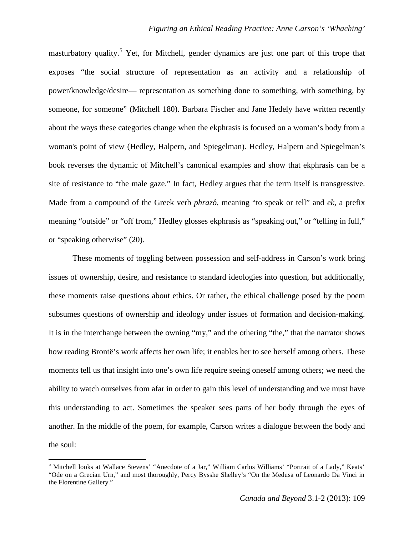masturbatory quality.<sup>[5](#page-6-0)</sup> Yet, for Mitchell, gender dynamics are just one part of this trope that exposes "the social structure of representation as an activity and a relationship of power/knowledge/desire— representation as something done to something, with something, by someone, for someone" (Mitchell 180). Barbara Fischer and Jane Hedely have written recently about the ways these categories change when the ekphrasis is focused on a woman's body from a woman's point of view (Hedley, Halpern, and Spiegelman). Hedley, Halpern and Spiegelman's book reverses the dynamic of Mitchell's canonical examples and show that ekphrasis can be a site of resistance to "the male gaze." In fact, Hedley argues that the term itself is transgressive. Made from a compound of the Greek verb *phrazô*, meaning "to speak or tell" and *ek*, a prefix meaning "outside" or "off from," Hedley glosses ekphrasis as "speaking out," or "telling in full," or "speaking otherwise" (20).

These moments of toggling between possession and self-address in Carson's work bring issues of ownership, desire, and resistance to standard ideologies into question, but additionally, these moments raise questions about ethics. Or rather, the ethical challenge posed by the poem subsumes questions of ownership and ideology under issues of formation and decision-making. It is in the interchange between the owning "my," and the othering "the," that the narrator shows how reading Brontë's work affects her own life; it enables her to see herself among others. These moments tell us that insight into one's own life require seeing oneself among others; we need the ability to watch ourselves from afar in order to gain this level of understanding and we must have this understanding to act. Sometimes the speaker sees parts of her body through the eyes of another. In the middle of the poem, for example, Carson writes a dialogue between the body and the soul:

 $\overline{\phantom{0}}$ 

<span id="page-6-0"></span><sup>5</sup> Mitchell looks at Wallace Stevens' "Anecdote of a Jar," William Carlos Williams' "Portrait of a Lady," Keats' "Ode on a Grecian Urn," and most thoroughly, Percy Bysshe Shelley's "On the Medusa of Leonardo Da Vinci in the Florentine Gallery."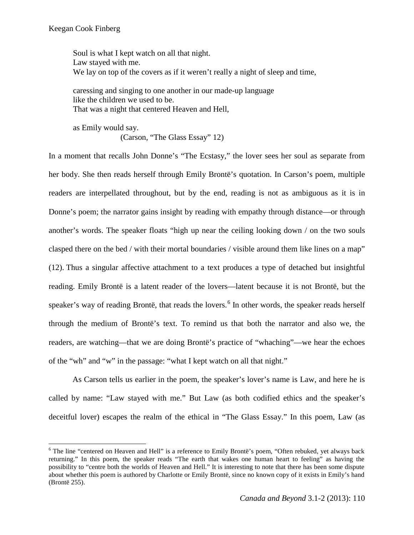ı

Soul is what I kept watch on all that night. Law stayed with me. We lay on top of the covers as if it weren't really a night of sleep and time,

caressing and singing to one another in our made-up language like the children we used to be. That was a night that centered Heaven and Hell,

as Emily would say. (Carson, "The Glass Essay" 12)

In a moment that recalls John Donne's "The Ecstasy," the lover sees her soul as separate from her body. She then reads herself through Emily Brontë's quotation. In Carson's poem, multiple readers are interpellated throughout, but by the end, reading is not as ambiguous as it is in Donne's poem; the narrator gains insight by reading with empathy through distance—or through another's words. The speaker floats "high up near the ceiling looking down / on the two souls clasped there on the bed / with their mortal boundaries / visible around them like lines on a map" (12). Thus a singular affective attachment to a text produces a type of detached but insightful reading. Emily Brontë is a latent reader of the lovers—latent because it is not Brontë, but the speaker's way of reading Brontë, that reads the lovers.<sup>[6](#page-7-0)</sup> In other words, the speaker reads herself through the medium of Brontë's text. To remind us that both the narrator and also we, the readers, are watching—that we are doing Brontë's practice of "whaching"—we hear the echoes of the "wh" and "w" in the passage: "what I kept watch on all that night."

As Carson tells us earlier in the poem, the speaker's lover's name is Law, and here he is called by name: "Law stayed with me." But Law (as both codified ethics and the speaker's deceitful lover) escapes the realm of the ethical in "The Glass Essay." In this poem, Law (as

<span id="page-7-0"></span><sup>&</sup>lt;sup>6</sup> The line "centered on Heaven and Hell" is a reference to Emily Brontë's poem, "Often rebuked, yet always back returning." In this poem, the speaker reads "The earth that wakes one human heart to feeling" as having the possibility to "centre both the worlds of Heaven and Hell." It is interesting to note that there has been some dispute about whether this poem is authored by Charlotte or Emily Brontë, since no known copy of it exists in Emily's hand (Brontë 255).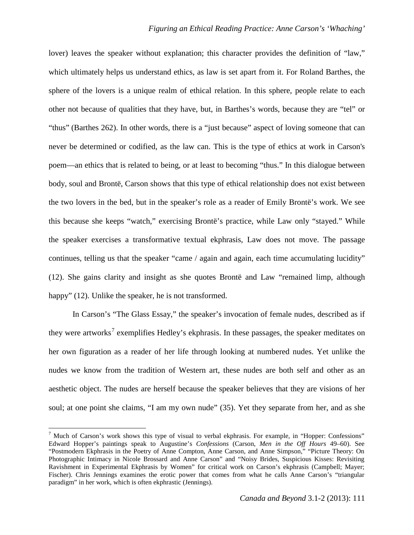lover) leaves the speaker without explanation; this character provides the definition of "law," which ultimately helps us understand ethics, as law is set apart from it. For Roland Barthes, the sphere of the lovers is a unique realm of ethical relation. In this sphere, people relate to each other not because of qualities that they have, but, in Barthes's words, because they are "tel" or "thus" (Barthes 262). In other words, there is a "just because" aspect of loving someone that can never be determined or codified, as the law can. This is the type of ethics at work in Carson's poem—an ethics that is related to being, or at least to becoming "thus." In this dialogue between body, soul and Brontë, Carson shows that this type of ethical relationship does not exist between the two lovers in the bed, but in the speaker's role as a reader of Emily Brontë's work. We see this because she keeps "watch," exercising Brontë's practice, while Law only "stayed." While the speaker exercises a transformative textual ekphrasis, Law does not move. The passage continues, telling us that the speaker "came / again and again, each time accumulating lucidity" (12). She gains clarity and insight as she quotes Brontë and Law "remained limp, although happy" (12). Unlike the speaker, he is not transformed.

In Carson's "The Glass Essay," the speaker's invocation of female nudes, described as if they were artworks<sup>[7](#page-8-0)</sup> exemplifies Hedley's ekphrasis. In these passages, the speaker meditates on her own figuration as a reader of her life through looking at numbered nudes. Yet unlike the nudes we know from the tradition of Western art, these nudes are both self and other as an aesthetic object. The nudes are herself because the speaker believes that they are visions of her soul; at one point she claims, "I am my own nude" (35). Yet they separate from her, and as she

l

<span id="page-8-0"></span><sup>7</sup> Much of Carson's work shows this type of visual to verbal ekphrasis. For example, in "Hopper: Confessions" Edward Hopper's paintings speak to Augustine's *Confessions* (Carson, *Men in the Off Hours* 49–60). See "Postmodern Ekphrasis in the Poetry of Anne Compton, Anne Carson, and Anne Simpson," "Picture Theory: On Photographic Intimacy in Nicole Brossard and Anne Carson" and "Noisy Brides, Suspicious Kisses: Revisiting Ravishment in Experimental Ekphrasis by Women" for critical work on Carson's ekphrasis (Campbell; Mayer; Fischer). Chris Jennings examines the erotic power that comes from what he calls Anne Carson's "triangular paradigm" in her work, which is often ekphrastic (Jennings).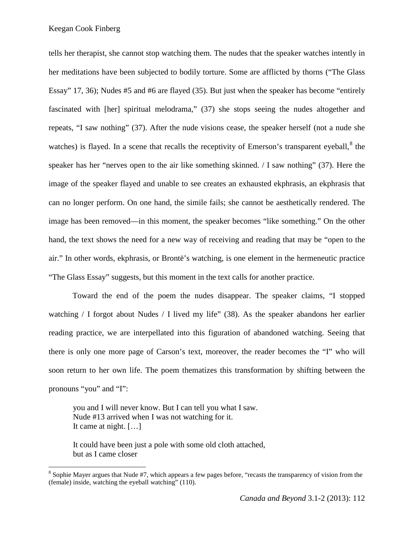Keegan Cook Finberg

ı

tells her therapist, she cannot stop watching them. The nudes that the speaker watches intently in her meditations have been subjected to bodily torture. Some are afflicted by thorns ("The Glass Essay" 17, 36); Nudes #5 and #6 are flayed (35). But just when the speaker has become "entirely fascinated with [her] spiritual melodrama," (37) she stops seeing the nudes altogether and repeats, "I saw nothing" (37). After the nude visions cease, the speaker herself (not a nude she watches) is flayed. In a scene that recalls the receptivity of Emerson's transparent eyeball, $^8$  $^8$  the speaker has her "nerves open to the air like something skinned. / I saw nothing" (37). Here the image of the speaker flayed and unable to see creates an exhausted ekphrasis, an ekphrasis that can no longer perform. On one hand, the simile fails; she cannot be aesthetically rendered. The image has been removed—in this moment, the speaker becomes "like something." On the other hand, the text shows the need for a new way of receiving and reading that may be "open to the air." In other words, ekphrasis, or Brontë's watching, is one element in the hermeneutic practice "The Glass Essay" suggests, but this moment in the text calls for another practice.

Toward the end of the poem the nudes disappear. The speaker claims, "I stopped watching / I forgot about Nudes / I lived my life" (38). As the speaker abandons her earlier reading practice, we are interpellated into this figuration of abandoned watching. Seeing that there is only one more page of Carson's text, moreover, the reader becomes the "I" who will soon return to her own life. The poem thematizes this transformation by shifting between the pronouns "you" and "I":

you and I will never know. But I can tell you what I saw. Nude #13 arrived when I was not watching for it. It came at night. […]

It could have been just a pole with some old cloth attached, but as I came closer

<span id="page-9-0"></span><sup>&</sup>lt;sup>8</sup> Sophie Mayer argues that Nude #7, which appears a few pages before, "recasts the transparency of vision from the (female) inside, watching the eyeball watching" (110).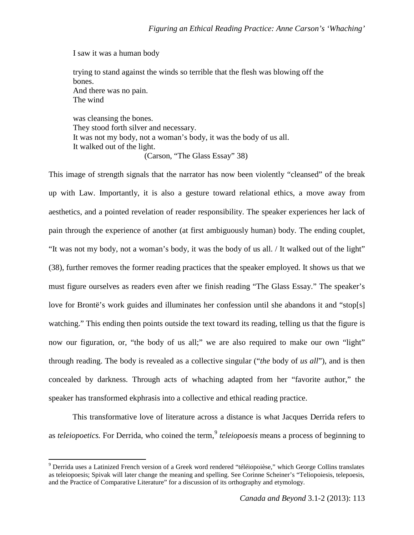I saw it was a human body

 $\overline{\phantom{0}}$ 

trying to stand against the winds so terrible that the flesh was blowing off the bones. And there was no pain. The wind

was cleansing the bones. They stood forth silver and necessary. It was not my body, not a woman's body, it was the body of us all. It walked out of the light. (Carson, "The Glass Essay" 38)

This image of strength signals that the narrator has now been violently "cleansed" of the break up with Law. Importantly, it is also a gesture toward relational ethics, a move away from aesthetics, and a pointed revelation of reader responsibility. The speaker experiences her lack of pain through the experience of another (at first ambiguously human) body. The ending couplet, "It was not my body, not a woman's body, it was the body of us all. / It walked out of the light" (38), further removes the former reading practices that the speaker employed. It shows us that we must figure ourselves as readers even after we finish reading "The Glass Essay." The speaker's love for Brontë's work guides and illuminates her confession until she abandons it and "stop[s] watching." This ending then points outside the text toward its reading, telling us that the figure is now our figuration, or, "the body of us all;" we are also required to make our own "light" through reading. The body is revealed as a collective singular ("*the* body of *us all*"), and is then concealed by darkness. Through acts of whaching adapted from her "favorite author," the speaker has transformed ekphrasis into a collective and ethical reading practice.

This transformative love of literature across a distance is what Jacques Derrida refers to as *teleiopoetics*. For Derrida, who coined the term, *<sup>[9](#page-10-0)</sup> teleiopoesis* means a process of beginning to

<span id="page-10-0"></span><sup>9</sup> Derrida uses a Latinized French version of a Greek word rendered "téléiopoièse," which George Collins translates as teleiopoesis; Spivak will later change the meaning and spelling. See Corinne Scheiner's "Teliopoiesis, telepoesis, and the Practice of Comparative Literature" for a discussion of its orthography and etymology.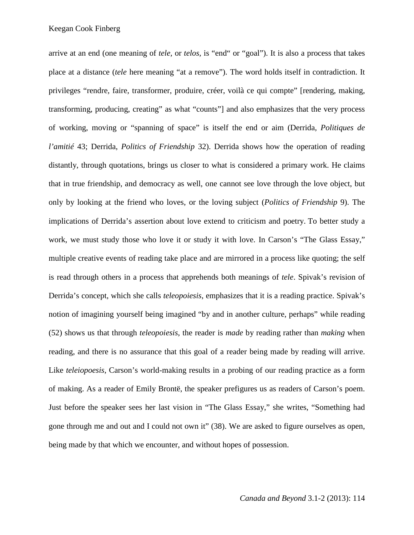arrive at an end (one meaning of *tele,* or *telos,* is "end" or "goal"). It is also a process that takes place at a distance (*tele* here meaning "at a remove"). The word holds itself in contradiction. It privileges "rendre, faire, transformer, produire, créer, voilà ce qui compte" [rendering, making, transforming, producing, creating" as what "counts"] and also emphasizes that the very process of working, moving or "spanning of space" is itself the end or aim (Derrida, *Politiques de l'amitié* 43; Derrida, *Politics of Friendship* 32). Derrida shows how the operation of reading distantly, through quotations, brings us closer to what is considered a primary work. He claims that in true friendship, and democracy as well, one cannot see love through the love object, but only by looking at the friend who loves, or the loving subject (*Politics of Friendship* 9). The implications of Derrida's assertion about love extend to criticism and poetry. To better study a work, we must study those who love it or study it with love. In Carson's "The Glass Essay," multiple creative events of reading take place and are mirrored in a process like quoting; the self is read through others in a process that apprehends both meanings of *tele*. Spivak's revision of Derrida's concept, which she calls *teleopoiesis*, emphasizes that it is a reading practice. Spivak's notion of imagining yourself being imagined "by and in another culture, perhaps" while reading (52) shows us that through *teleopoiesis*, the reader is *made* by reading rather than *making* when reading, and there is no assurance that this goal of a reader being made by reading will arrive. Like *teleiopoesis*, Carson's world-making results in a probing of our reading practice as a form of making. As a reader of Emily Brontë, the speaker prefigures us as readers of Carson's poem. Just before the speaker sees her last vision in "The Glass Essay," she writes, "Something had gone through me and out and I could not own it" (38). We are asked to figure ourselves as open, being made by that which we encounter, and without hopes of possession.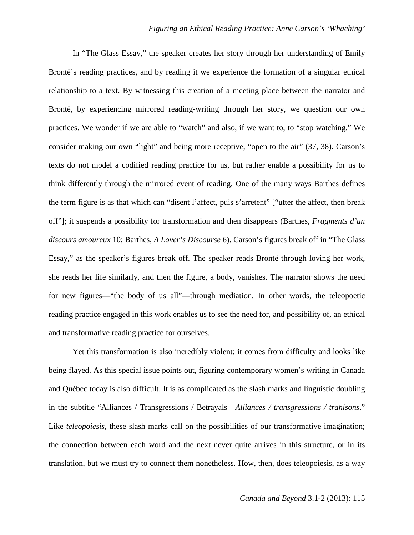In "The Glass Essay," the speaker creates her story through her understanding of Emily Brontë's reading practices, and by reading it we experience the formation of a singular ethical relationship to a text. By witnessing this creation of a meeting place between the narrator and Brontë, by experiencing mirrored reading-writing through her story, we question our own practices. We wonder if we are able to "watch" and also, if we want to, to "stop watching." We consider making our own "light" and being more receptive, "open to the air" (37, 38). Carson's texts do not model a codified reading practice for us, but rather enable a possibility for us to think differently through the mirrored event of reading. One of the many ways Barthes defines the term figure is as that which can "disent l'affect, puis s'arretent" ["utter the affect, then break off"]; it suspends a possibility for transformation and then disappears (Barthes, *Fragments d'un discours amoureux* 10; Barthes, *A Lover's Discourse* 6). Carson's figures break off in "The Glass Essay," as the speaker's figures break off. The speaker reads Brontë through loving her work, she reads her life similarly, and then the figure, a body, vanishes. The narrator shows the need for new figures—"the body of us all"—through mediation. In other words, the teleopoetic reading practice engaged in this work enables us to see the need for, and possibility of, an ethical and transformative reading practice for ourselves.

Yet this transformation is also incredibly violent; it comes from difficulty and looks like being flayed. As this special issue points out, figuring contemporary women's writing in Canada and Québec today is also difficult. It is as complicated as the slash marks and linguistic doubling in the subtitle "Alliances / Transgressions / Betrayals—*Alliances / transgressions / trahisons*." Like *teleopoiesis*, these slash marks call on the possibilities of our transformative imagination; the connection between each word and the next never quite arrives in this structure, or in its translation, but we must try to connect them nonetheless. How, then, does teleopoiesis, as a way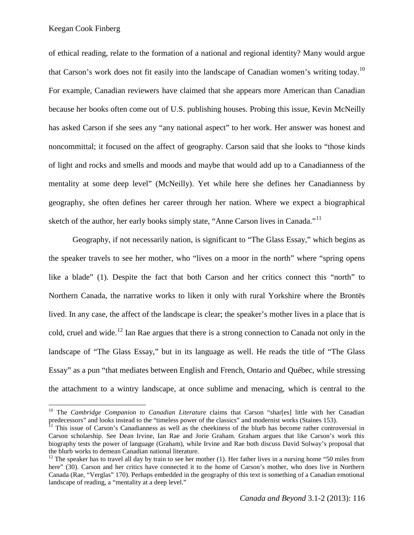ı

of ethical reading, relate to the formation of a national and regional identity? Many would argue that Carson's work does not fit easily into the landscape of Canadian women's writing today.<sup>[10](#page-13-0)</sup> For example, Canadian reviewers have claimed that she appears more American than Canadian because her books often come out of U.S. publishing houses. Probing this issue, Kevin McNeilly has asked Carson if she sees any "any national aspect" to her work. Her answer was honest and noncommittal; it focused on the affect of geography. Carson said that she looks to "those kinds of light and rocks and smells and moods and maybe that would add up to a Canadianness of the mentality at some deep level" (McNeilly). Yet while here she defines her Canadianness by geography, she often defines her career through her nation. Where we expect a biographical sketch of the author, her early books simply state, "Anne Carson lives in Canada."<sup>[11](#page-13-1)</sup>

Geography, if not necessarily nation, is significant to "The Glass Essay," which begins as the speaker travels to see her mother, who "lives on a moor in the north" where "spring opens like a blade" (1). Despite the fact that both Carson and her critics connect this "north" to Northern Canada, the narrative works to liken it only with rural Yorkshire where the Brontës lived. In any case, the affect of the landscape is clear; the speaker's mother lives in a place that is cold, cruel and wide.<sup>[12](#page-13-2)</sup> Ian Rae argues that there is a strong connection to Canada not only in the landscape of "The Glass Essay," but in its language as well. He reads the title of "The Glass Essay" as a pun "that mediates between English and French, Ontario and Québec, while stressing the attachment to a wintry landscape, at once sublime and menacing, which is central to the

<span id="page-13-0"></span><sup>&</sup>lt;sup>10</sup> The *Cambridge Companion to Canadian Literature* claims that Carson "shar[es] little with her Canadian predecessors" and looks instead to the "timeless power of the classics" and modernist works (Staines 153).

<span id="page-13-1"></span><sup>&</sup>lt;sup>11</sup> This issue of Carson's Canadianness as well as the cheekiness of the blurb has become rather controversial in Carson scholarship. See Dean Irvine, Ian Rae and Jorie Graham. Graham argues that like Carson's work this biography tests the power of language (Graham), while Irvine and Rae both discuss David Solway's proposal that the blurb works to demean Canadian national literature.

<span id="page-13-2"></span><sup>&</sup>lt;sup>12</sup> The speaker has to travel all day by train to see her mother (1). Her father lives in a nursing home "50 miles from here" (30). Carson and her critics have connected it to the home of Carson's mother, who does live in Northern Canada (Rae, "Verglas" 170). Perhaps embedded in the geography of this text is something of a Canadian emotional landscape of reading, a "mentality at a deep level."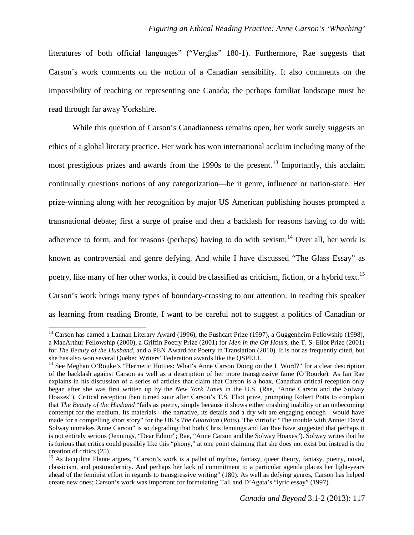literatures of both official languages" ("Verglas" 180-1). Furthermore, Rae suggests that Carson's work comments on the notion of a Canadian sensibility. It also comments on the impossibility of reaching or representing one Canada; the perhaps familiar landscape must be read through far away Yorkshire.

While this question of Carson's Canadianness remains open, her work surely suggests an ethics of a global literary practice. Her work has won international acclaim including many of the most prestigious prizes and awards from the 1990s to the present.<sup>[13](#page-14-0)</sup> Importantly, this acclaim continually questions notions of any categorization—be it genre, influence or nation-state. Her prize-winning along with her recognition by major US American publishing houses prompted a transnational debate; first a surge of praise and then a backlash for reasons having to do with adherence to form, and for reasons (perhaps) having to do with sexism.<sup>[14](#page-14-1)</sup> Over all, her work is known as controversial and genre defying. And while I have discussed "The Glass Essay" as poetry, like many of her other works, it could be classified as criticism, fiction, or a hybrid text.<sup>[15](#page-14-2)</sup> Carson's work brings many types of boundary-crossing to our attention. In reading this speaker as learning from reading Brontë, I want to be careful not to suggest a politics of Canadian or

 $\overline{\phantom{0}}$ 

<span id="page-14-0"></span><sup>&</sup>lt;sup>13</sup> Carson has earned a Lannan Literary Award (1996), the Pushcart Prize (1997), a Guggenheim Fellowship (1998), a MacArthur Fellowship (2000), a Griffin Poetry Prize (2001) for *Men in the Off Hours*, the T. S. Eliot Prize (2001) for *The Beauty of the Husband*, and a PEN Award for Poetry in Translation (2010). It is not as frequently cited, but she has also won several Québec Writers' Federation awards like the QSPELL.

<span id="page-14-1"></span><sup>&</sup>lt;sup>14</sup> See Meghan O'Rouke's "Hermetic Hotties: What's Anne Carson Doing on the L Word?" for a clear description of the backlash against Carson as well as a description of her more transgressive fame (O'Rourke). As Ian Rae explains in his discussion of a series of articles that claim that Carson is a hoax, Canadian critical reception only began after she was first written up by the *New York Times* in the U.S. (Rae, "Anne Carson and the Solway Hoaxes"). Critical reception then turned sour after Carson's T.S. Eliot prize, prompting Robert Potts to complain that *The Beauty of the Husband* "fails as poetry, simply because it shows either crashing inability or an unbecoming contempt for the medium. Its materials—the narrative, its details and a dry wit are engaging enough—would have made for a compelling short story" for the UK's *The Guardian* (Potts). The vitriolic "The trouble with Annie: David Solway unmakes Anne Carson" is so degrading that both Chris Jennings and Ian Rae have suggested that perhaps it is not entirely serious (Jennings, "Dear Editor"; Rae, "Anne Carson and the Solway Hoaxes"). Solway writes that he is furious that critics could possibly like this "phony," at one point claiming that she does not exist but instead is the

<span id="page-14-2"></span><sup>&</sup>lt;sup>15</sup> As Jacquline Plante argues, "Carson's work is a pallet of mythos, fantasy, queer theory, fantasy, poetry, novel, classicism, and postmodernity. And perhaps her lack of commitment to a particular agenda places her light-years ahead of the feminist effort in regards to transgressive writing" (180). As well as defying genres, Carson has helped create new ones; Carson's work was important for formulating Tall and D'Agata's "lyric essay" (1997).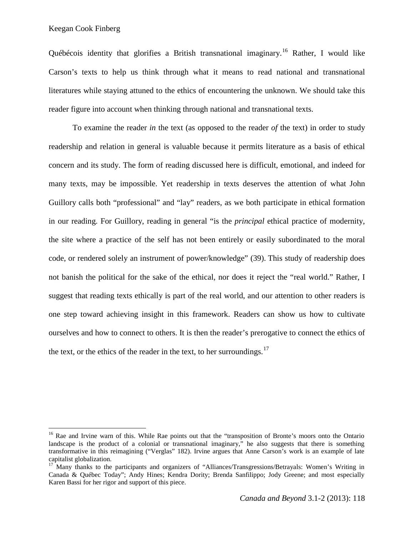l

Québécois identity that glorifies a British transnational imaginary.<sup>[16](#page-15-0)</sup> Rather, I would like Carson's texts to help us think through what it means to read national and transnational literatures while staying attuned to the ethics of encountering the unknown. We should take this reader figure into account when thinking through national and transnational texts.

To examine the reader *in* the text (as opposed to the reader *of* the text) in order to study readership and relation in general is valuable because it permits literature as a basis of ethical concern and its study. The form of reading discussed here is difficult, emotional, and indeed for many texts, may be impossible. Yet readership in texts deserves the attention of what John Guillory calls both "professional" and "lay" readers, as we both participate in ethical formation in our reading. For Guillory, reading in general "is the *principal* ethical practice of modernity, the site where a practice of the self has not been entirely or easily subordinated to the moral code, or rendered solely an instrument of power/knowledge" (39). This study of readership does not banish the political for the sake of the ethical, nor does it reject the "real world." Rather, I suggest that reading texts ethically is part of the real world, and our attention to other readers is one step toward achieving insight in this framework. Readers can show us how to cultivate ourselves and how to connect to others. It is then the reader's prerogative to connect the ethics of the text, or the ethics of the reader in the text, to her surroundings.<sup>[17](#page-15-1)</sup>

<span id="page-15-0"></span><sup>&</sup>lt;sup>16</sup> Rae and Irvine warn of this. While Rae points out that the "transposition of Bronte's moors onto the Ontario landscape is the product of a colonial or transnational imaginary," he also suggests that there is something transformative in this reimagining ("Verglas" 182). Irvine argues that Anne Carson's work is an example of late

<span id="page-15-1"></span><sup>&</sup>lt;sup>17</sup> Many thanks to the participants and organizers of "Alliances/Transgressions/Betrayals: Women's Writing in Canada & Québec Today"; Andy Hines; Kendra Dority; Brenda Sanfilippo; Jody Greene; and most especially Karen Bassi for her rigor and support of this piece.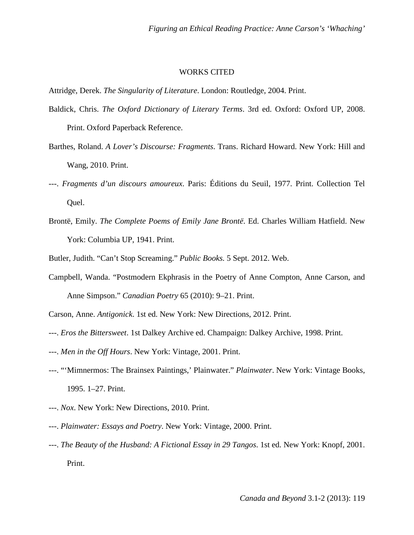## WORKS CITED

Attridge, Derek. *The Singularity of Literature*. London: Routledge, 2004. Print.

- Baldick, Chris. *The Oxford Dictionary of Literary Terms*. 3rd ed. Oxford: Oxford UP, 2008. Print. Oxford Paperback Reference.
- Barthes, Roland. *A Lover's Discourse: Fragments*. Trans. Richard Howard. New York: Hill and Wang, 2010. Print.
- ---. *Fragments d'un discours amoureux*. Paris: Éditions du Seuil, 1977. Print. Collection Tel Quel.
- Brontë, Emily. *The Complete Poems of Emily Jane Brontë*. Ed. Charles William Hatfield. New York: Columbia UP, 1941. Print.

Butler, Judith. "Can't Stop Screaming." *Public Books.* 5 Sept. 2012. Web.

- Campbell, Wanda. "Postmodern Ekphrasis in the Poetry of Anne Compton, Anne Carson, and Anne Simpson." *Canadian Poetry* 65 (2010): 9–21. Print.
- Carson, Anne. *Antigonick*. 1st ed. New York: New Directions, 2012. Print.
- ---. *Eros the Bittersweet*. 1st Dalkey Archive ed. Champaign: Dalkey Archive, 1998. Print.
- ---. *Men in the Off Hours*. New York: Vintage, 2001. Print.
- ---. "'Mimnermos: The Brainsex Paintings,' Plainwater." *Plainwater*. New York: Vintage Books, 1995. 1–27. Print.
- ---. *Nox*. New York: New Directions, 2010. Print.
- ---. *Plainwater: Essays and Poetry*. New York: Vintage, 2000. Print.
- ---. *The Beauty of the Husband: A Fictional Essay in 29 Tangos*. 1st ed. New York: Knopf, 2001. Print.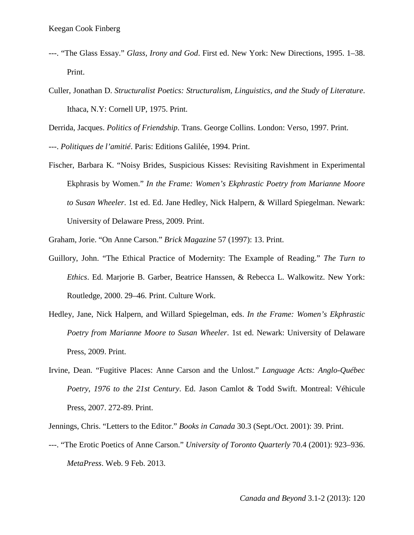- ---. "The Glass Essay." *Glass, Irony and God*. First ed. New York: New Directions, 1995. 1–38. Print.
- Culler, Jonathan D. *Structuralist Poetics: Structuralism, Linguistics, and the Study of Literature*. Ithaca, N.Y: Cornell UP, 1975. Print.

Derrida, Jacques. *Politics of Friendship*. Trans. George Collins. London: Verso, 1997. Print.

- ---. *Politiques de l'amitié*. Paris: Editions Galilée, 1994. Print.
- Fischer, Barbara K. "Noisy Brides, Suspicious Kisses: Revisiting Ravishment in Experimental Ekphrasis by Women." *In the Frame: Women's Ekphrastic Poetry from Marianne Moore to Susan Wheeler*. 1st ed. Ed. Jane Hedley, Nick Halpern, & Willard Spiegelman. Newark: University of Delaware Press, 2009. Print.
- Graham, Jorie. "On Anne Carson." *Brick Magazine* 57 (1997): 13. Print.
- Guillory, John. "The Ethical Practice of Modernity: The Example of Reading." *The Turn to Ethics*. Ed. Marjorie B. Garber, Beatrice Hanssen, & Rebecca L. Walkowitz. New York: Routledge, 2000. 29–46. Print. Culture Work.
- Hedley, Jane, Nick Halpern, and Willard Spiegelman, eds. *In the Frame: Women's Ekphrastic Poetry from Marianne Moore to Susan Wheeler*. 1st ed. Newark: University of Delaware Press, 2009. Print.
- Irvine, Dean. "Fugitive Places: Anne Carson and the Unlost." *Language Acts: Anglo-Québec Poetry, 1976 to the 21st Century*. Ed. Jason Camlot & Todd Swift. Montreal: Véhicule Press, 2007. 272-89. Print.

Jennings, Chris. "Letters to the Editor." *Books in Canada* 30.3 (Sept./Oct. 2001): 39. Print.

---. "The Erotic Poetics of Anne Carson." *University of Toronto Quarterly* 70.4 (2001): 923–936. *MetaPress*. Web. 9 Feb. 2013.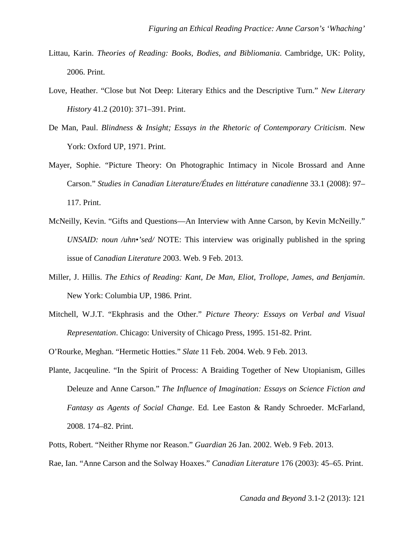- Littau, Karin. *Theories of Reading: Books, Bodies, and Bibliomania*. Cambridge, UK: Polity, 2006. Print.
- Love, Heather. "Close but Not Deep: Literary Ethics and the Descriptive Turn." *New Literary History* 41.2 (2010): 371–391. Print.
- De Man, Paul. *Blindness & Insight; Essays in the Rhetoric of Contemporary Criticism*. New York: Oxford UP, 1971. Print.
- Mayer, Sophie. "Picture Theory: On Photographic Intimacy in Nicole Brossard and Anne Carson." *Studies in Canadian Literature/Études en littérature canadienne* 33.1 (2008): 97– 117. Print.
- McNeilly, Kevin. "Gifts and Questions—An Interview with Anne Carson, by Kevin McNeilly." *UNSAID: noun /uhn•'sed/* NOTE: This interview was originally published in the spring issue of *Canadian Literature* 2003. Web. 9 Feb. 2013.
- Miller, J. Hillis. *The Ethics of Reading: Kant, De Man, Eliot, Trollope, James, and Benjamin*. New York: Columbia UP, 1986. Print.
- Mitchell, W.J.T. "Ekphrasis and the Other." *Picture Theory: Essays on Verbal and Visual Representation*. Chicago: University of Chicago Press, 1995. 151-82. Print.
- O'Rourke, Meghan. "Hermetic Hotties." *Slate* 11 Feb. 2004. Web. 9 Feb. 2013.
- Plante, Jacqeuline. "In the Spirit of Process: A Braiding Together of New Utopianism, Gilles Deleuze and Anne Carson." *The Influence of Imagination: Essays on Science Fiction and Fantasy as Agents of Social Change*. Ed. Lee Easton & Randy Schroeder. McFarland, 2008. 174–82. Print.

Potts, Robert. "Neither Rhyme nor Reason." *Guardian* 26 Jan. 2002. Web. 9 Feb. 2013.

Rae, Ian. "Anne Carson and the Solway Hoaxes." *Canadian Literature* 176 (2003): 45–65. Print.